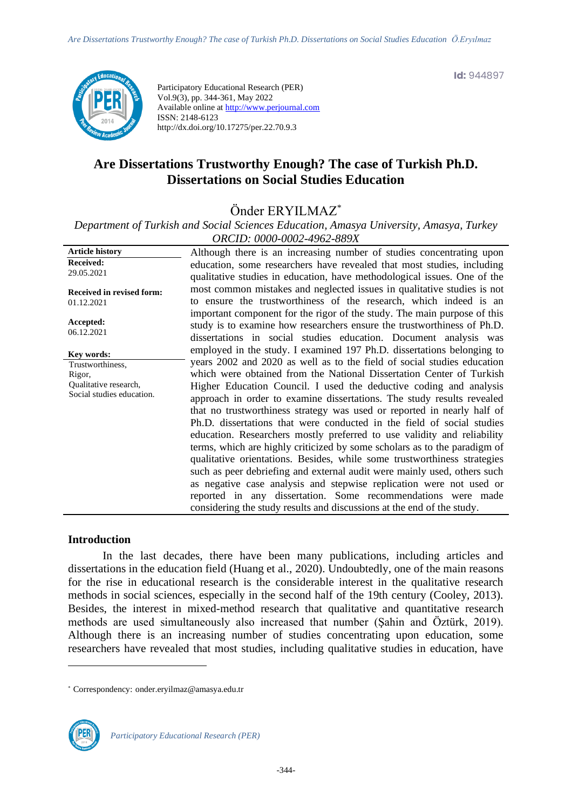**Id:** 944897



Participatory Educational Research (PER) Vol.9(3), pp. 344-361, May 2022 Available online at http://www.perjournal.com ISSN: 2148-6123 http://dx.doi.org/10.17275/per.22.70.9.3

# **Are Dissertations Trustworthy Enough? The case of Turkish Ph.D. Dissertations on Social Studies Education**

Önder ERYILMAZ\*

*Department of Turkish and Social Sciences Education, Amasya University, Amasya, Turkey ORCID: 0000-0002-4962-889X*

| <b>Article history</b>           | Although there is an increasing number of studies concentrating upon      |
|----------------------------------|---------------------------------------------------------------------------|
| <b>Received:</b>                 | education, some researchers have revealed that most studies, including    |
| 29.05.2021                       | qualitative studies in education, have methodological issues. One of the  |
|                                  | most common mistakes and neglected issues in qualitative studies is not   |
| <b>Received in revised form:</b> | to ensure the trustworthiness of the research, which indeed is an         |
| 01.12.2021                       |                                                                           |
| Accepted:                        | important component for the rigor of the study. The main purpose of this  |
| 06.12.2021                       | study is to examine how researchers ensure the trustworthiness of Ph.D.   |
|                                  | dissertations in social studies education. Document analysis was          |
| Key words:                       | employed in the study. I examined 197 Ph.D. dissertations belonging to    |
| Trustworthiness,                 | years 2002 and 2020 as well as to the field of social studies education   |
| Rigor,                           | which were obtained from the National Dissertation Center of Turkish      |
| Qualitative research,            | Higher Education Council. I used the deductive coding and analysis        |
| Social studies education.        | approach in order to examine dissertations. The study results revealed    |
|                                  | that no trustworthiness strategy was used or reported in nearly half of   |
|                                  | Ph.D. dissertations that were conducted in the field of social studies    |
|                                  | education. Researchers mostly preferred to use validity and reliability   |
|                                  | terms, which are highly criticized by some scholars as to the paradigm of |
|                                  | qualitative orientations. Besides, while some trustworthiness strategies  |
|                                  |                                                                           |
|                                  | such as peer debriefing and external audit were mainly used, others such  |
|                                  | as negative case analysis and stepwise replication were not used or       |
|                                  | reported in any dissertation. Some recommendations were made              |
|                                  | considering the study results and discussions at the end of the study.    |
|                                  |                                                                           |

# **Introduction**

In the last decades, there have been many publications, including articles and dissertations in the education field (Huang et al., 2020). Undoubtedly, one of the main reasons for the rise in educational research is the considerable interest in the qualitative research methods in social sciences, especially in the second half of the 19th century (Cooley, 2013). Besides, the interest in mixed-method research that qualitative and quantitative research methods are used simultaneously also increased that number (Şahin and Öztürk, 2019). Although there is an increasing number of studies concentrating upon education, some researchers have revealed that most studies, including qualitative studies in education, have

<sup>\*</sup> [Correspondency:](mailto:Correspondency:) onder.eryilmaz@amasya.edu.tr

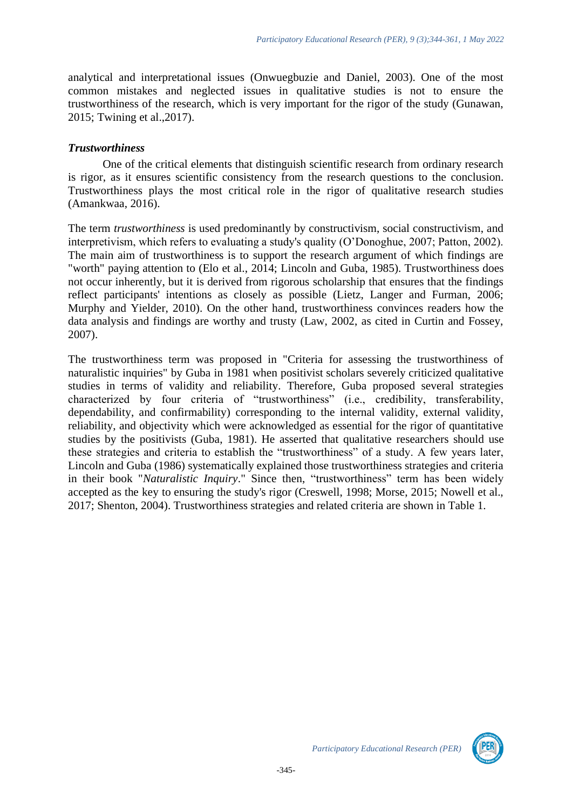analytical and interpretational issues (Onwuegbuzie and Daniel, 2003). One of the most common mistakes and neglected issues in qualitative studies is not to ensure the trustworthiness of the research, which is very important for the rigor of the study (Gunawan, 2015; Twining et al.,2017).

# *Trustworthiness*

One of the critical elements that distinguish scientific research from ordinary research is rigor, as it ensures scientific consistency from the research questions to the conclusion. Trustworthiness plays the most critical role in the rigor of qualitative research studies (Amankwaa, 2016).

The term *trustworthiness* is used predominantly by constructivism, social constructivism, and interpretivism, which refers to evaluating a study's quality (O'Donoghue, 2007; Patton, 2002). The main aim of trustworthiness is to support the research argument of which findings are "worth" paying attention to (Elo et al., 2014; Lincoln and Guba, 1985). Trustworthiness does not occur inherently, but it is derived from rigorous scholarship that ensures that the findings reflect participants' intentions as closely as possible (Lietz, Langer and Furman, 2006; Murphy and Yielder, 2010). On the other hand, trustworthiness convinces readers how the data analysis and findings are worthy and trusty (Law, 2002, as cited in Curtin and Fossey, 2007).

The trustworthiness term was proposed in "Criteria for assessing the trustworthiness of naturalistic inquiries" by Guba in 1981 when positivist scholars severely criticized qualitative studies in terms of validity and reliability. Therefore, Guba proposed several strategies characterized by four criteria of "trustworthiness" (i.e., credibility, transferability, dependability, and confirmability) corresponding to the internal validity, external validity, reliability, and objectivity which were acknowledged as essential for the rigor of quantitative studies by the positivists (Guba, 1981). He asserted that qualitative researchers should use these strategies and criteria to establish the "trustworthiness" of a study. A few years later, Lincoln and Guba (1986) systematically explained those trustworthiness strategies and criteria in their book "*Naturalistic Inquiry*." Since then, "trustworthiness" term has been widely accepted as the key to ensuring the study's rigor (Creswell, 1998; Morse, 2015; Nowell et al., 2017; Shenton, 2004). Trustworthiness strategies and related criteria are shown in Table 1.

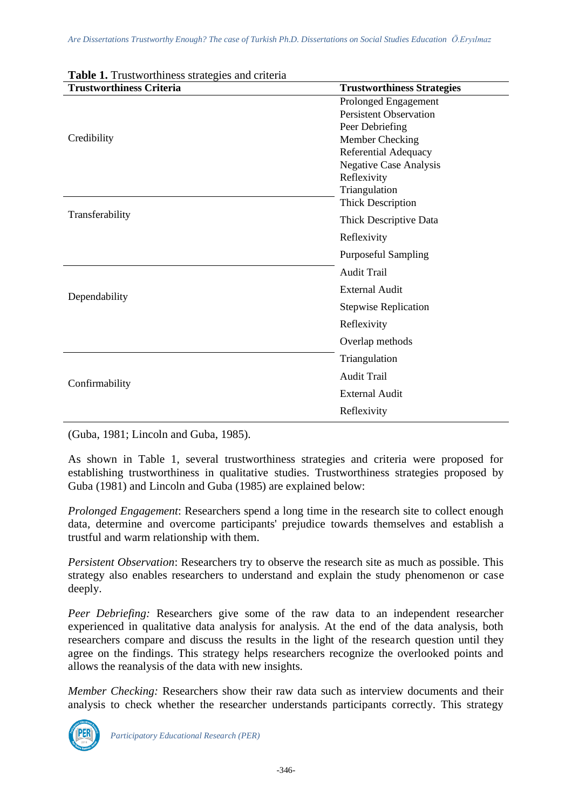| <b>Trustworthiness Criteria</b> | <b>Trustworthiness Strategies</b> |  |  |  |  |
|---------------------------------|-----------------------------------|--|--|--|--|
|                                 | Prolonged Engagement              |  |  |  |  |
|                                 | <b>Persistent Observation</b>     |  |  |  |  |
|                                 | Peer Debriefing                   |  |  |  |  |
| Credibility                     | Member Checking                   |  |  |  |  |
|                                 | Referential Adequacy              |  |  |  |  |
|                                 | <b>Negative Case Analysis</b>     |  |  |  |  |
|                                 | Reflexivity                       |  |  |  |  |
|                                 | Triangulation                     |  |  |  |  |
|                                 | <b>Thick Description</b>          |  |  |  |  |
| Transferability                 | Thick Descriptive Data            |  |  |  |  |
|                                 | Reflexivity                       |  |  |  |  |
|                                 | <b>Purposeful Sampling</b>        |  |  |  |  |
|                                 | <b>Audit Trail</b>                |  |  |  |  |
| Dependability                   | <b>External Audit</b>             |  |  |  |  |
|                                 | <b>Stepwise Replication</b>       |  |  |  |  |
|                                 | Reflexivity                       |  |  |  |  |
|                                 | Overlap methods                   |  |  |  |  |
|                                 | Triangulation                     |  |  |  |  |
| Confirmability                  | <b>Audit Trail</b>                |  |  |  |  |
|                                 | <b>External Audit</b>             |  |  |  |  |
|                                 | Reflexivity                       |  |  |  |  |

# **Table 1.** Trustworthiness strategies and criteria

(Guba, 1981; Lincoln and Guba, 1985).

As shown in Table 1, several trustworthiness strategies and criteria were proposed for establishing trustworthiness in qualitative studies. Trustworthiness strategies proposed by Guba (1981) and Lincoln and Guba (1985) are explained below:

*Prolonged Engagement*: Researchers spend a long time in the research site to collect enough data, determine and overcome participants' prejudice towards themselves and establish a trustful and warm relationship with them.

*Persistent Observation*: Researchers try to observe the research site as much as possible. This strategy also enables researchers to understand and explain the study phenomenon or case deeply.

*Peer Debriefing:* Researchers give some of the raw data to an independent researcher experienced in qualitative data analysis for analysis. At the end of the data analysis, both researchers compare and discuss the results in the light of the research question until they agree on the findings. This strategy helps researchers recognize the overlooked points and allows the reanalysis of the data with new insights.

*Member Checking:* Researchers show their raw data such as interview documents and their analysis to check whether the researcher understands participants correctly. This strategy

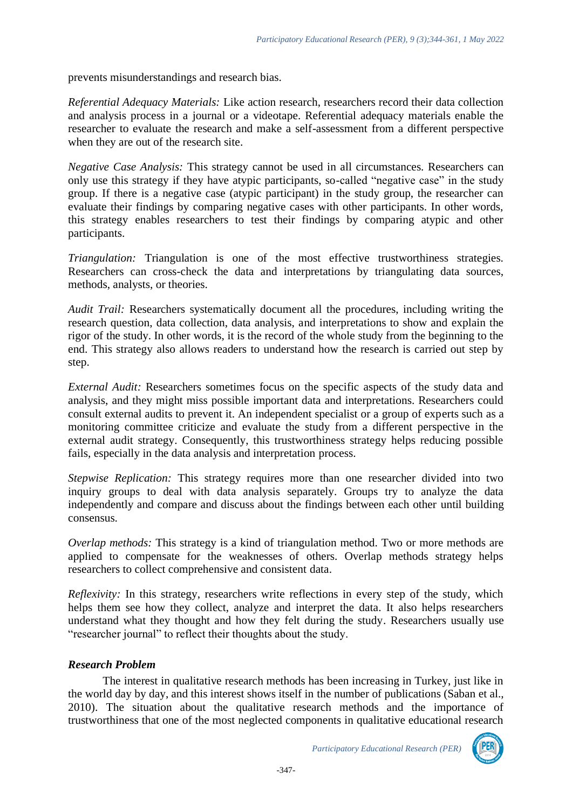prevents misunderstandings and research bias.

*Referential Adequacy Materials:* Like action research, researchers record their data collection and analysis process in a journal or a videotape. Referential adequacy materials enable the researcher to evaluate the research and make a self-assessment from a different perspective when they are out of the research site.

*Negative Case Analysis:* This strategy cannot be used in all circumstances. Researchers can only use this strategy if they have atypic participants, so-called "negative case" in the study group. If there is a negative case (atypic participant) in the study group, the researcher can evaluate their findings by comparing negative cases with other participants. In other words, this strategy enables researchers to test their findings by comparing atypic and other participants.

*Triangulation:* Triangulation is one of the most effective trustworthiness strategies. Researchers can cross-check the data and interpretations by triangulating data sources, methods, analysts, or theories.

*Audit Trail:* Researchers systematically document all the procedures, including writing the research question, data collection, data analysis, and interpretations to show and explain the rigor of the study. In other words, it is the record of the whole study from the beginning to the end. This strategy also allows readers to understand how the research is carried out step by step.

*External Audit:* Researchers sometimes focus on the specific aspects of the study data and analysis, and they might miss possible important data and interpretations. Researchers could consult external audits to prevent it. An independent specialist or a group of experts such as a monitoring committee criticize and evaluate the study from a different perspective in the external audit strategy. Consequently, this trustworthiness strategy helps reducing possible fails, especially in the data analysis and interpretation process.

*Stepwise Replication:* This strategy requires more than one researcher divided into two inquiry groups to deal with data analysis separately. Groups try to analyze the data independently and compare and discuss about the findings between each other until building consensus.

*Overlap methods:* This strategy is a kind of triangulation method. Two or more methods are applied to compensate for the weaknesses of others. Overlap methods strategy helps researchers to collect comprehensive and consistent data.

*Reflexivity:* In this strategy, researchers write reflections in every step of the study, which helps them see how they collect, analyze and interpret the data. It also helps researchers understand what they thought and how they felt during the study. Researchers usually use "researcher journal" to reflect their thoughts about the study.

# *Research Problem*

The interest in qualitative research methods has been increasing in Turkey, just like in the world day by day, and this interest shows itself in the number of publications (Saban et al., 2010). The situation about the qualitative research methods and the importance of trustworthiness that one of the most neglected components in qualitative educational research

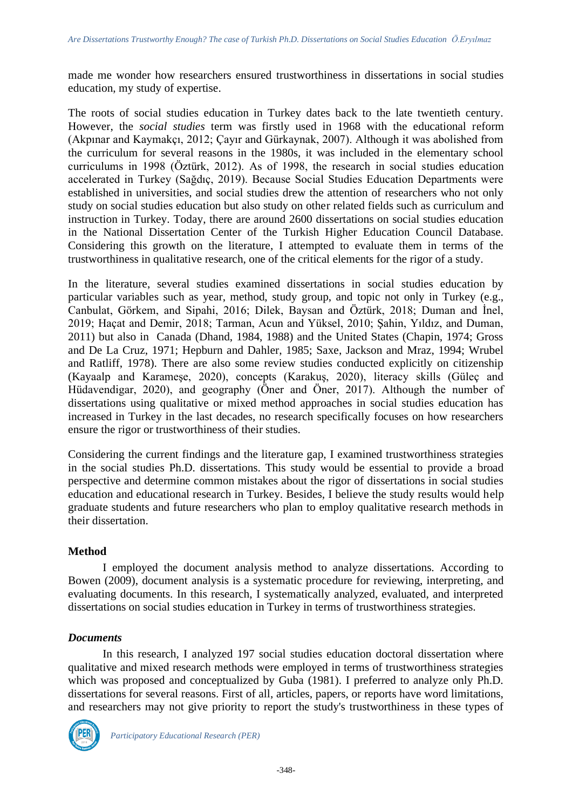made me wonder how researchers ensured trustworthiness in dissertations in social studies education, my study of expertise.

The roots of social studies education in Turkey dates back to the late twentieth century. However, the *social studies* term was firstly used in 1968 with the educational reform (Akpınar and Kaymakçı, 2012; Çayır and Gürkaynak, 2007). Although it was abolished from the curriculum for several reasons in the 1980s, it was included in the elementary school curriculums in 1998 (Öztürk, 2012). As of 1998, the research in social studies education accelerated in Turkey (Sağdıç, 2019). Because Social Studies Education Departments were established in universities, and social studies drew the attention of researchers who not only study on social studies education but also study on other related fields such as curriculum and instruction in Turkey. Today, there are around 2600 dissertations on social studies education in the National Dissertation Center of the Turkish Higher Education Council Database. Considering this growth on the literature, I attempted to evaluate them in terms of the trustworthiness in qualitative research, one of the critical elements for the rigor of a study.

In the literature, several studies examined dissertations in social studies education by particular variables such as year, method, study group, and topic not only in Turkey (e.g., Canbulat, Görkem, and Sipahi, 2016; Dilek, Baysan and Öztürk, 2018; Duman and İnel, 2019; Haçat and Demir, 2018; Tarman, Acun and Yüksel, 2010; Şahin, Yıldız, and Duman, 2011) but also in Canada (Dhand, 1984, 1988) and the United States (Chapin, 1974; Gross and De La Cruz, 1971; Hepburn and Dahler, 1985; Saxe, Jackson and Mraz, 1994; Wrubel and Ratliff, 1978). There are also some review studies conducted explicitly on citizenship (Kayaalp and Karameşe, 2020), concepts (Karakuş, 2020), literacy skills (Güleç and Hüdavendigar, 2020), and geography (Öner and Öner, 2017). Although the number of dissertations using qualitative or mixed method approaches in social studies education has increased in Turkey in the last decades, no research specifically focuses on how researchers ensure the rigor or trustworthiness of their studies.

Considering the current findings and the literature gap, I examined trustworthiness strategies in the social studies Ph.D. dissertations. This study would be essential to provide a broad perspective and determine common mistakes about the rigor of dissertations in social studies education and educational research in Turkey. Besides, I believe the study results would help graduate students and future researchers who plan to employ qualitative research methods in their dissertation.

# **Method**

I employed the document analysis method to analyze dissertations. According to Bowen (2009), document analysis is a systematic procedure for reviewing, interpreting, and evaluating documents. In this research, I systematically analyzed, evaluated, and interpreted dissertations on social studies education in Turkey in terms of trustworthiness strategies.

# *Documents*

In this research, I analyzed 197 social studies education doctoral dissertation where qualitative and mixed research methods were employed in terms of trustworthiness strategies which was proposed and conceptualized by Guba (1981). I preferred to analyze only Ph.D. dissertations for several reasons. First of all, articles, papers, or reports have word limitations, and researchers may not give priority to report the study's trustworthiness in these types of

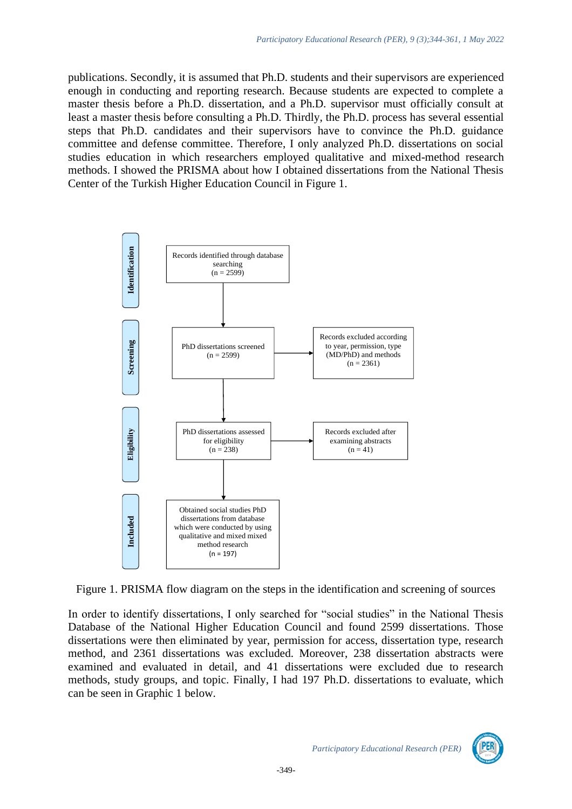publications. Secondly, it is assumed that Ph.D. students and their supervisors are experienced enough in conducting and reporting research. Because students are expected to complete a master thesis before a Ph.D. dissertation, and a Ph.D. supervisor must officially consult at least a master thesis before consulting a Ph.D. Thirdly, the Ph.D. process has several essential steps that Ph.D. candidates and their supervisors have to convince the Ph.D. guidance committee and defense committee. Therefore, I only analyzed Ph.D. dissertations on social studies education in which researchers employed qualitative and mixed-method research methods. I showed the PRISMA about how I obtained dissertations from the National Thesis Center of the Turkish Higher Education Council in Figure 1.



Figure 1. PRISMA flow diagram on the steps in the identification and screening of sources

In order to identify dissertations, I only searched for "social studies" in the National Thesis Database of the National Higher Education Council and found 2599 dissertations. Those dissertations were then eliminated by year, permission for access, dissertation type, research method, and 2361 dissertations was excluded. Moreover, 238 dissertation abstracts were examined and evaluated in detail, and 41 dissertations were excluded due to research methods, study groups, and topic. Finally, I had 197 Ph.D. dissertations to evaluate, which can be seen in Graphic 1 below.

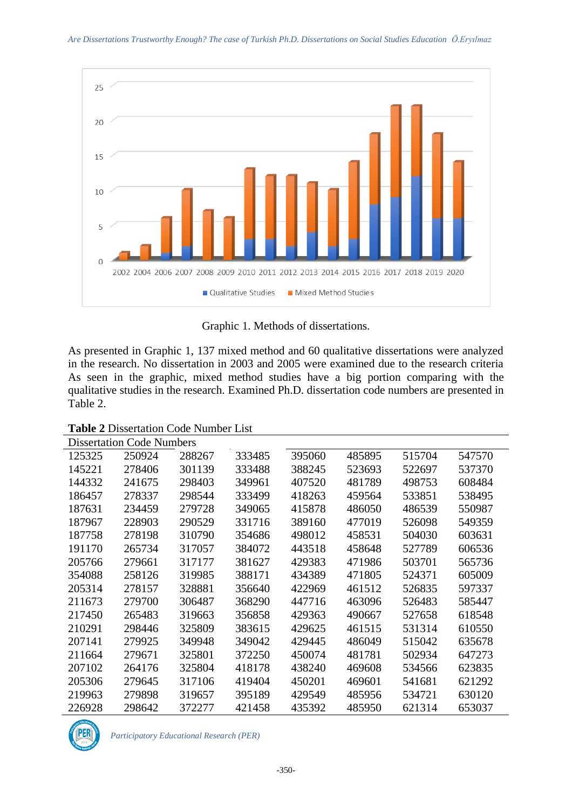

Graphic 1. Methods of dissertations.

As presented in Graphic 1, 137 mixed method and 60 qualitative dissertations were analyzed in the research. No dissertation in 2003 and 2005 were examined due to the research criteria As seen in the graphic, mixed method studies have a big portion comparing with the qualitative studies in the research. Examined Ph.D. dissertation code numbers are presented in Table 2.

**Table 2** Dissertation Code Number List

| <b>Dissertation Code Numbers</b> |        |        |        |        |        |        |        |  |  |  |  |
|----------------------------------|--------|--------|--------|--------|--------|--------|--------|--|--|--|--|
| 125325                           | 250924 | 288267 | 333485 | 395060 | 485895 | 515704 | 547570 |  |  |  |  |
| 145221                           | 278406 | 301139 | 333488 | 388245 | 523693 | 522697 | 537370 |  |  |  |  |
| 144332                           | 241675 | 298403 | 349961 | 407520 | 481789 | 498753 | 608484 |  |  |  |  |
| 186457                           | 278337 | 298544 | 333499 | 418263 | 459564 | 533851 | 538495 |  |  |  |  |
| 187631                           | 234459 | 279728 | 349065 | 415878 | 486050 | 486539 | 550987 |  |  |  |  |
| 187967                           | 228903 | 290529 | 331716 | 389160 | 477019 | 526098 | 549359 |  |  |  |  |
| 187758                           | 278198 | 310790 | 354686 | 498012 | 458531 | 504030 | 603631 |  |  |  |  |
| 191170                           | 265734 | 317057 | 384072 | 443518 | 458648 | 527789 | 606536 |  |  |  |  |
| 205766                           | 279661 | 317177 | 381627 | 429383 | 471986 | 503701 | 565736 |  |  |  |  |
| 354088                           | 258126 | 319985 | 388171 | 434389 | 471805 | 524371 | 605009 |  |  |  |  |
| 205314                           | 278157 | 328881 | 356640 | 422969 | 461512 | 526835 | 597337 |  |  |  |  |
| 211673                           | 279700 | 306487 | 368290 | 447716 | 463096 | 526483 | 585447 |  |  |  |  |
| 217450                           | 265483 | 319663 | 356858 | 429363 | 490667 | 527658 | 618548 |  |  |  |  |
| 210291                           | 298446 | 325809 | 383615 | 429625 | 461515 | 531314 | 610550 |  |  |  |  |
| 207141                           | 279925 | 349948 | 349042 | 429445 | 486049 | 515042 | 635678 |  |  |  |  |
| 211664                           | 279671 | 325801 | 372250 | 450074 | 481781 | 502934 | 647273 |  |  |  |  |
| 207102                           | 264176 | 325804 | 418178 | 438240 | 469608 | 534566 | 623835 |  |  |  |  |
| 205306                           | 279645 | 317106 | 419404 | 450201 | 469601 | 541681 | 621292 |  |  |  |  |
| 219963                           | 279898 | 319657 | 395189 | 429549 | 485956 | 534721 | 630120 |  |  |  |  |
| 226928                           | 298642 | 372277 | 421458 | 435392 | 485950 | 621314 | 653037 |  |  |  |  |

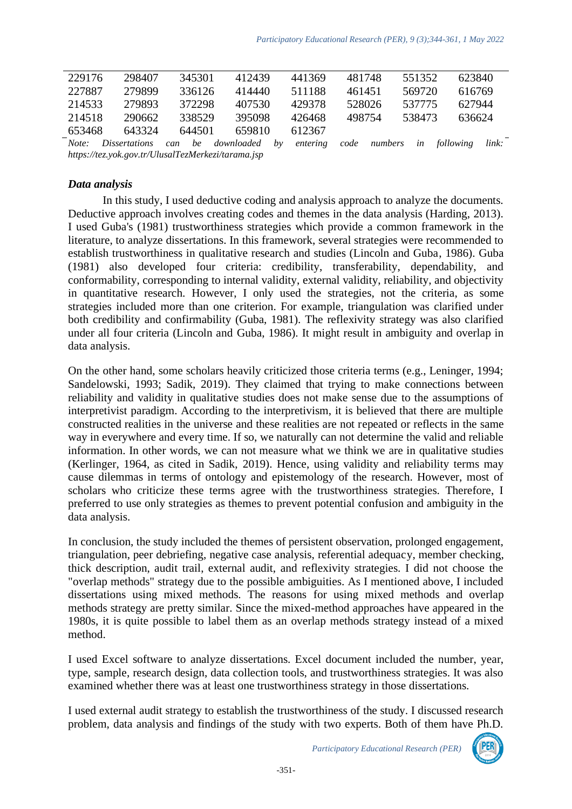| 229176                                             | 298407               | 345301    | 412439     | 441369         | 481748 |         | 551352 | 623840    |       |
|----------------------------------------------------|----------------------|-----------|------------|----------------|--------|---------|--------|-----------|-------|
| 227887                                             | 279899               | 336126    | 414440     | 511188         | 461451 |         | 569720 | 616769    |       |
| 214533                                             | 279893               | 372298    | 407530     | 429378         | 528026 |         | 537775 | 627944    |       |
| 214518                                             | 290662               | 338529    | 395098     | 426468         | 498754 |         | 538473 | 636624    |       |
| 653468                                             | 643324               | 644501    | 659810     | 612367         |        |         |        |           |       |
| Note:                                              | <i>Dissertations</i> | be<br>can | downloaded | entering<br>bν | code   | numbers | in     | following | link: |
| https://tez.yok.gov.tr/UlusalTezMerkezi/tarama.jsp |                      |           |            |                |        |         |        |           |       |

*Data analysis*

In this study, I used deductive coding and analysis approach to analyze the documents. Deductive approach involves creating codes and themes in the data analysis (Harding, 2013). I used Guba's (1981) trustworthiness strategies which provide a common framework in the literature, to analyze dissertations. In this framework, several strategies were recommended to establish trustworthiness in qualitative research and studies (Lincoln and Guba, 1986). Guba (1981) also developed four criteria: credibility, transferability, dependability, and conformability, corresponding to internal validity, external validity, reliability, and objectivity in quantitative research. However, I only used the strategies, not the criteria, as some strategies included more than one criterion. For example, triangulation was clarified under both credibility and confirmability (Guba, 1981). The reflexivity strategy was also clarified under all four criteria (Lincoln and Guba, 1986). It might result in ambiguity and overlap in data analysis.

On the other hand, some scholars heavily criticized those criteria terms (e.g., Leninger, 1994; Sandelowski, 1993; Sadik, 2019). They claimed that trying to make connections between reliability and validity in qualitative studies does not make sense due to the assumptions of interpretivist paradigm. According to the interpretivism, it is believed that there are multiple constructed realities in the universe and these realities are not repeated or reflects in the same way in everywhere and every time. If so, we naturally can not determine the valid and reliable information. In other words, we can not measure what we think we are in qualitative studies (Kerlinger, 1964, as cited in Sadik, 2019). Hence, using validity and reliability terms may cause dilemmas in terms of ontology and epistemology of the research. However, most of scholars who criticize these terms agree with the trustworthiness strategies. Therefore, I preferred to use only strategies as themes to prevent potential confusion and ambiguity in the data analysis.

In conclusion, the study included the themes of persistent observation, prolonged engagement, triangulation, peer debriefing, negative case analysis, referential adequacy, member checking, thick description, audit trail, external audit, and reflexivity strategies. I did not choose the "overlap methods" strategy due to the possible ambiguities. As I mentioned above, I included dissertations using mixed methods. The reasons for using mixed methods and overlap methods strategy are pretty similar. Since the mixed-method approaches have appeared in the 1980s, it is quite possible to label them as an overlap methods strategy instead of a mixed method.

I used Excel software to analyze dissertations. Excel document included the number, year, type, sample, research design, data collection tools, and trustworthiness strategies. It was also examined whether there was at least one trustworthiness strategy in those dissertations.

I used external audit strategy to establish the trustworthiness of the study. I discussed research problem, data analysis and findings of the study with two experts. Both of them have Ph.D.

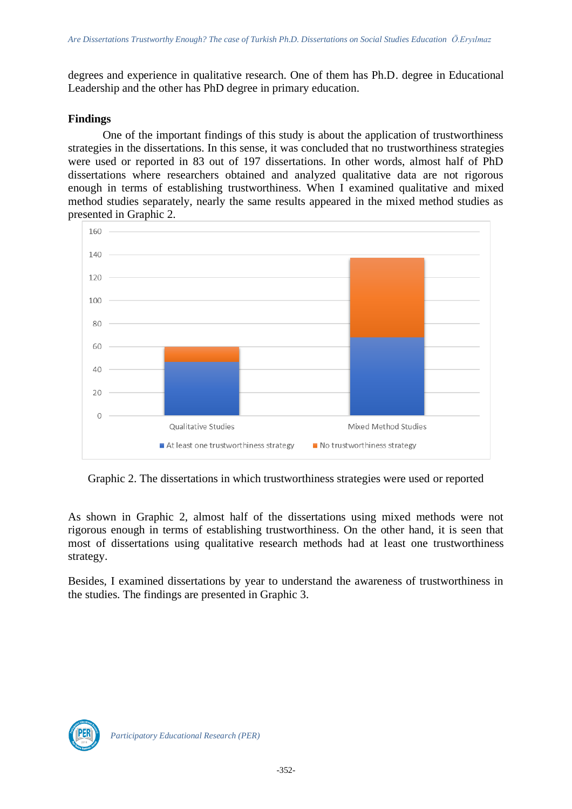degrees and experience in qualitative research. One of them has Ph.D. degree in Educational Leadership and the other has PhD degree in primary education.

#### **Findings**

One of the important findings of this study is about the application of trustworthiness strategies in the dissertations. In this sense, it was concluded that no trustworthiness strategies were used or reported in 83 out of 197 dissertations. In other words, almost half of PhD dissertations where researchers obtained and analyzed qualitative data are not rigorous enough in terms of establishing trustworthiness. When I examined qualitative and mixed method studies separately, nearly the same results appeared in the mixed method studies as presented in Graphic 2.



Graphic 2. The dissertations in which trustworthiness strategies were used or reported

As shown in Graphic 2, almost half of the dissertations using mixed methods were not rigorous enough in terms of establishing trustworthiness. On the other hand, it is seen that most of dissertations using qualitative research methods had at least one trustworthiness strategy.

Besides, I examined dissertations by year to understand the awareness of trustworthiness in the studies. The findings are presented in Graphic 3.

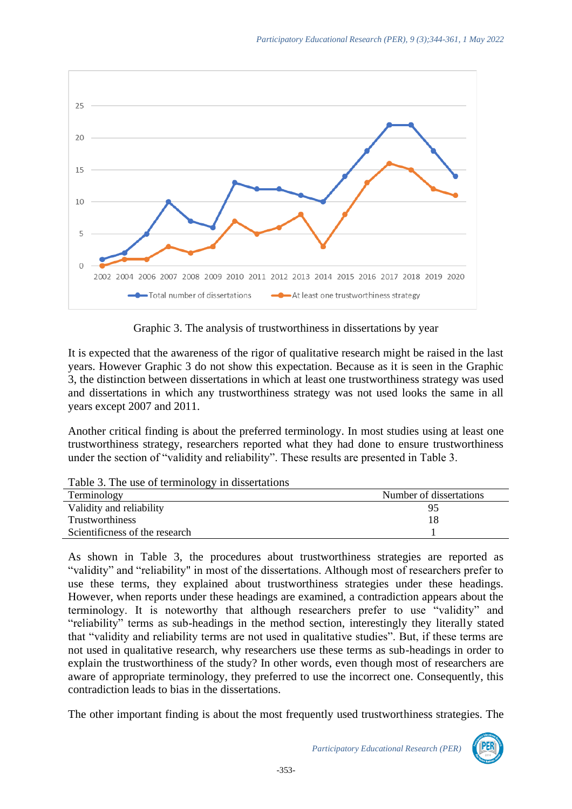

Graphic 3. The analysis of trustworthiness in dissertations by year

It is expected that the awareness of the rigor of qualitative research might be raised in the last years. However Graphic 3 do not show this expectation. Because as it is seen in the Graphic 3, the distinction between dissertations in which at least one trustworthiness strategy was used and dissertations in which any trustworthiness strategy was not used looks the same in all years except 2007 and 2011.

Another critical finding is about the preferred terminology. In most studies using at least one trustworthiness strategy, researchers reported what they had done to ensure trustworthiness under the section of "validity and reliability". These results are presented in Table 3.

| $\frac{1}{2}$ and $\frac{1}{2}$ and $\frac{1}{2}$ of terminology in choosing $\frac{1}{2}$ |                         |
|--------------------------------------------------------------------------------------------|-------------------------|
| Terminology                                                                                | Number of dissertations |
| Validity and reliability                                                                   | 95                      |
| Trustworthiness                                                                            | 18                      |
| Scientificness of the research                                                             |                         |

Table 3. The use of terminology in dissertations

As shown in Table 3, the procedures about trustworthiness strategies are reported as "validity" and "reliability" in most of the dissertations. Although most of researchers prefer to use these terms, they explained about trustworthiness strategies under these headings. However, when reports under these headings are examined, a contradiction appears about the terminology. It is noteworthy that although researchers prefer to use "validity" and "reliability" terms as sub-headings in the method section, interestingly they literally stated that "validity and reliability terms are not used in qualitative studies". But, if these terms are not used in qualitative research, why researchers use these terms as sub-headings in order to explain the trustworthiness of the study? In other words, even though most of researchers are aware of appropriate terminology, they preferred to use the incorrect one. Consequently, this contradiction leads to bias in the dissertations.

The other important finding is about the most frequently used trustworthiness strategies. The

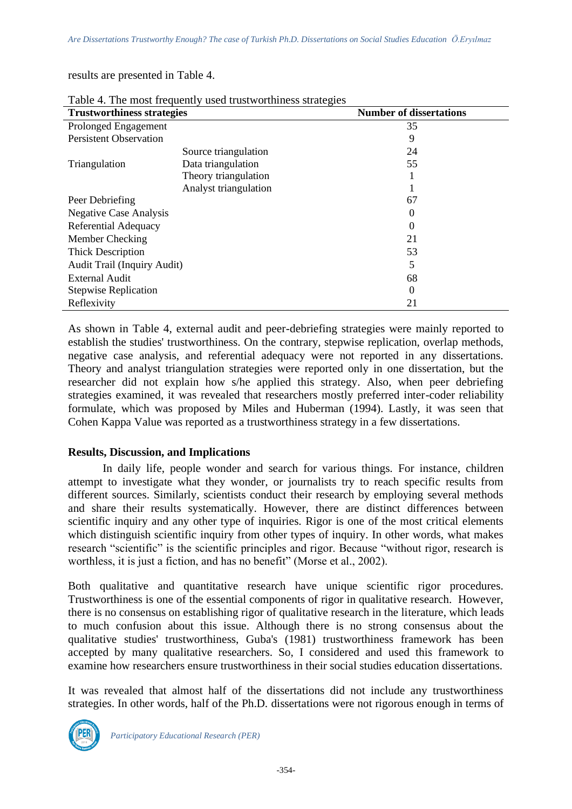results are presented in Table 4.

| $\ldots$ and $\ldots$ and $\ldots$ , |                       |                                |  |  |  |  |  |  |  |
|--------------------------------------|-----------------------|--------------------------------|--|--|--|--|--|--|--|
| <b>Trustworthiness strategies</b>    |                       | <b>Number of dissertations</b> |  |  |  |  |  |  |  |
| Prolonged Engagement                 |                       | 35                             |  |  |  |  |  |  |  |
| <b>Persistent Observation</b>        |                       | 9                              |  |  |  |  |  |  |  |
|                                      | Source triangulation  | 24                             |  |  |  |  |  |  |  |
| Triangulation                        | Data triangulation    | 55                             |  |  |  |  |  |  |  |
|                                      | Theory triangulation  |                                |  |  |  |  |  |  |  |
|                                      | Analyst triangulation |                                |  |  |  |  |  |  |  |
| Peer Debriefing                      |                       | 67                             |  |  |  |  |  |  |  |
| <b>Negative Case Analysis</b>        |                       | 0                              |  |  |  |  |  |  |  |
| Referential Adequacy                 |                       | 0                              |  |  |  |  |  |  |  |
| Member Checking                      |                       | 21                             |  |  |  |  |  |  |  |
| <b>Thick Description</b>             |                       | 53                             |  |  |  |  |  |  |  |
| <b>Audit Trail (Inquiry Audit)</b>   |                       | 5                              |  |  |  |  |  |  |  |
| <b>External Audit</b>                |                       | 68                             |  |  |  |  |  |  |  |
| <b>Stepwise Replication</b>          |                       | 0                              |  |  |  |  |  |  |  |
| Reflexivity                          |                       | 21                             |  |  |  |  |  |  |  |

Table 4. The most frequently used trustworthiness strategies

As shown in Table 4, external audit and peer-debriefing strategies were mainly reported to establish the studies' trustworthiness. On the contrary, stepwise replication, overlap methods, negative case analysis, and referential adequacy were not reported in any dissertations. Theory and analyst triangulation strategies were reported only in one dissertation, but the researcher did not explain how s/he applied this strategy. Also, when peer debriefing strategies examined, it was revealed that researchers mostly preferred inter-coder reliability formulate, which was proposed by Miles and Huberman (1994). Lastly, it was seen that Cohen Kappa Value was reported as a trustworthiness strategy in a few dissertations.

# **Results, Discussion, and Implications**

In daily life, people wonder and search for various things. For instance, children attempt to investigate what they wonder, or journalists try to reach specific results from different sources. Similarly, scientists conduct their research by employing several methods and share their results systematically. However, there are distinct differences between scientific inquiry and any other type of inquiries. Rigor is one of the most critical elements which distinguish scientific inquiry from other types of inquiry. In other words, what makes research "scientific" is the scientific principles and rigor. Because "without rigor, research is worthless, it is just a fiction, and has no benefit" (Morse et al., 2002).

Both qualitative and quantitative research have unique scientific rigor procedures. Trustworthiness is one of the essential components of rigor in qualitative research. However, there is no consensus on establishing rigor of qualitative research in the literature, which leads to much confusion about this issue. Although there is no strong consensus about the qualitative studies' trustworthiness, Guba's (1981) trustworthiness framework has been accepted by many qualitative researchers. So, I considered and used this framework to examine how researchers ensure trustworthiness in their social studies education dissertations.

It was revealed that almost half of the dissertations did not include any trustworthiness strategies. In other words, half of the Ph.D. dissertations were not rigorous enough in terms of

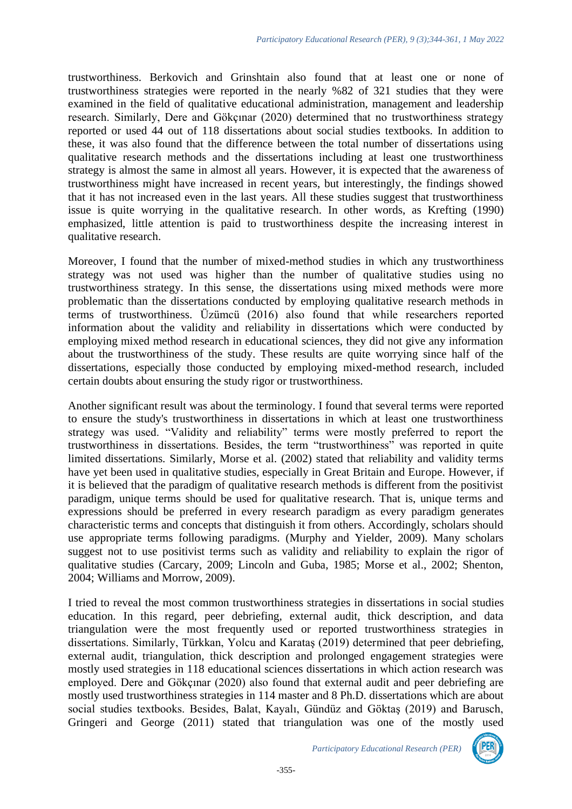trustworthiness. Berkovich and Grinshtain also found that at least one or none of trustworthiness strategies were reported in the nearly %82 of 321 studies that they were examined in the field of qualitative educational administration, management and leadership research. Similarly, Dere and Gökçınar (2020) determined that no trustworthiness strategy reported or used 44 out of 118 dissertations about social studies textbooks. In addition to these, it was also found that the difference between the total number of dissertations using qualitative research methods and the dissertations including at least one trustworthiness strategy is almost the same in almost all years. However, it is expected that the awareness of trustworthiness might have increased in recent years, but interestingly, the findings showed that it has not increased even in the last years. All these studies suggest that trustworthiness issue is quite worrying in the qualitative research. In other words, as Krefting (1990) emphasized, little attention is paid to trustworthiness despite the increasing interest in qualitative research.

Moreover, I found that the number of mixed-method studies in which any trustworthiness strategy was not used was higher than the number of qualitative studies using no trustworthiness strategy. In this sense, the dissertations using mixed methods were more problematic than the dissertations conducted by employing qualitative research methods in terms of trustworthiness. Üzümcü (2016) also found that while researchers reported information about the validity and reliability in dissertations which were conducted by employing mixed method research in educational sciences, they did not give any information about the trustworthiness of the study. These results are quite worrying since half of the dissertations, especially those conducted by employing mixed-method research, included certain doubts about ensuring the study rigor or trustworthiness.

Another significant result was about the terminology. I found that several terms were reported to ensure the study's trustworthiness in dissertations in which at least one trustworthiness strategy was used. "Validity and reliability" terms were mostly preferred to report the trustworthiness in dissertations. Besides, the term "trustworthiness" was reported in quite limited dissertations. Similarly, Morse et al. (2002) stated that reliability and validity terms have yet been used in qualitative studies, especially in Great Britain and Europe. However, if it is believed that the paradigm of qualitative research methods is different from the positivist paradigm, unique terms should be used for qualitative research. That is, unique terms and expressions should be preferred in every research paradigm as every paradigm generates characteristic terms and concepts that distinguish it from others. Accordingly, scholars should use appropriate terms following paradigms. (Murphy and Yielder, 2009). Many scholars suggest not to use positivist terms such as validity and reliability to explain the rigor of qualitative studies (Carcary, 2009; Lincoln and Guba, 1985; Morse et al., 2002; Shenton, 2004; Williams and Morrow, 2009).

I tried to reveal the most common trustworthiness strategies in dissertations in social studies education. In this regard, peer debriefing, external audit, thick description, and data triangulation were the most frequently used or reported trustworthiness strategies in dissertations. Similarly, Türkkan, Yolcu and Karataş (2019) determined that peer debriefing, external audit, triangulation, thick description and prolonged engagement strategies were mostly used strategies in 118 educational sciences dissertations in which action research was employed. Dere and Gökçınar (2020) also found that external audit and peer debriefing are mostly used trustworthiness strategies in 114 master and 8 Ph.D. dissertations which are about social studies textbooks. Besides, Balat, Kayalı, Gündüz and Göktaş (2019) and Barusch, Gringeri and George (2011) stated that triangulation was one of the mostly used

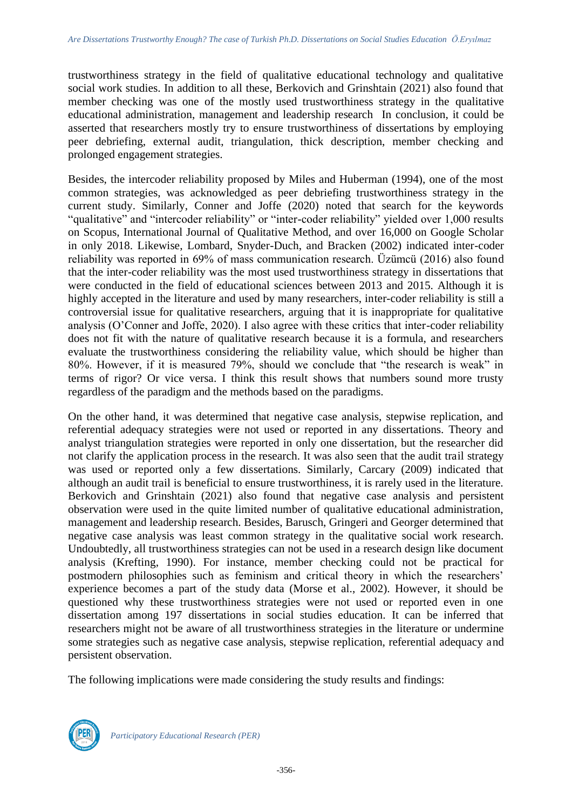trustworthiness strategy in the field of qualitative educational technology and qualitative social work studies. In addition to all these, Berkovich and Grinshtain (2021) also found that member checking was one of the mostly used trustworthiness strategy in the qualitative educational administration, management and leadership research In conclusion, it could be asserted that researchers mostly try to ensure trustworthiness of dissertations by employing peer debriefing, external audit, triangulation, thick description, member checking and prolonged engagement strategies.

Besides, the intercoder reliability proposed by Miles and Huberman (1994), one of the most common strategies, was acknowledged as peer debriefing trustworthiness strategy in the current study. Similarly, Conner and Joffe (2020) noted that search for the keywords "qualitative" and "intercoder reliability" or "inter-coder reliability" yielded over 1,000 results on Scopus, International Journal of Qualitative Method, and over 16,000 on Google Scholar in only 2018. Likewise, Lombard, Snyder-Duch, and Bracken (2002) indicated inter-coder reliability was reported in 69% of mass communication research. Üzümcü (2016) also found that the inter-coder reliability was the most used trustworthiness strategy in dissertations that were conducted in the field of educational sciences between 2013 and 2015. Although it is highly accepted in the literature and used by many researchers, inter-coder reliability is still a controversial issue for qualitative researchers, arguing that it is inappropriate for qualitative analysis (O'Conner and Joffe, 2020). I also agree with these critics that inter-coder reliability does not fit with the nature of qualitative research because it is a formula, and researchers evaluate the trustworthiness considering the reliability value, which should be higher than 80%. However, if it is measured 79%, should we conclude that "the research is weak" in terms of rigor? Or vice versa. I think this result shows that numbers sound more trusty regardless of the paradigm and the methods based on the paradigms.

On the other hand, it was determined that negative case analysis, stepwise replication, and referential adequacy strategies were not used or reported in any dissertations. Theory and analyst triangulation strategies were reported in only one dissertation, but the researcher did not clarify the application process in the research. It was also seen that the audit trail strategy was used or reported only a few dissertations. Similarly, Carcary (2009) indicated that although an audit trail is beneficial to ensure trustworthiness, it is rarely used in the literature. Berkovich and Grinshtain (2021) also found that negative case analysis and persistent observation were used in the quite limited number of qualitative educational administration, management and leadership research. Besides, Barusch, Gringeri and Georger determined that negative case analysis was least common strategy in the qualitative social work research. Undoubtedly, all trustworthiness strategies can not be used in a research design like document analysis (Krefting, 1990). For instance, member checking could not be practical for postmodern philosophies such as feminism and critical theory in which the researchers' experience becomes a part of the study data (Morse et al., 2002). However, it should be questioned why these trustworthiness strategies were not used or reported even in one dissertation among 197 dissertations in social studies education. It can be inferred that researchers might not be aware of all trustworthiness strategies in the literature or undermine some strategies such as negative case analysis, stepwise replication, referential adequacy and persistent observation.

The following implications were made considering the study results and findings:

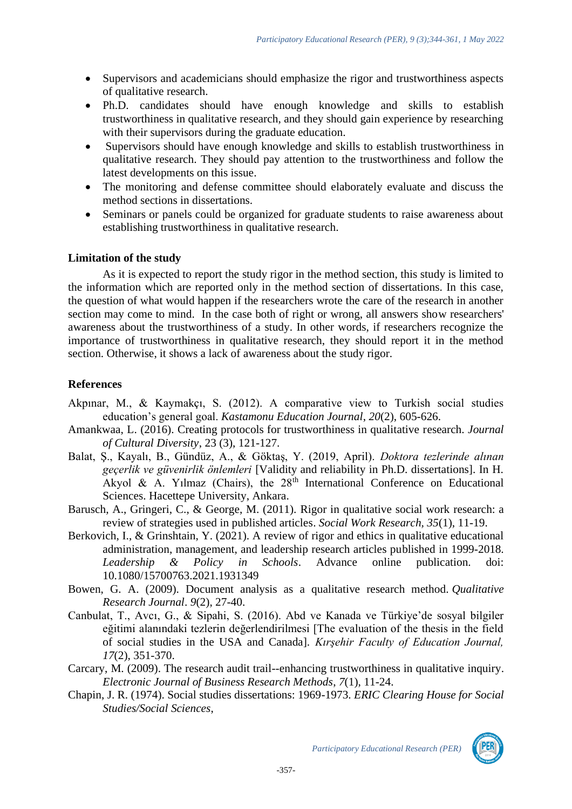- Supervisors and academicians should emphasize the rigor and trustworthiness aspects of qualitative research.
- Ph.D. candidates should have enough knowledge and skills to establish trustworthiness in qualitative research, and they should gain experience by researching with their supervisors during the graduate education.
- Supervisors should have enough knowledge and skills to establish trustworthiness in qualitative research. They should pay attention to the trustworthiness and follow the latest developments on this issue.
- The monitoring and defense committee should elaborately evaluate and discuss the method sections in dissertations.
- Seminars or panels could be organized for graduate students to raise awareness about establishing trustworthiness in qualitative research.

# **Limitation of the study**

As it is expected to report the study rigor in the method section, this study is limited to the information which are reported only in the method section of dissertations. In this case, the question of what would happen if the researchers wrote the care of the research in another section may come to mind. In the case both of right or wrong, all answers show researchers' awareness about the trustworthiness of a study. In other words, if researchers recognize the importance of trustworthiness in qualitative research, they should report it in the method section. Otherwise, it shows a lack of awareness about the study rigor.

# **References**

- Akpınar, M., & Kaymakçı, S. (2012). A comparative view to Turkish social studies education's general goal. *Kastamonu Education Journal*, *20*(2), 605-626.
- Amankwaa, L. (2016). Creating protocols for trustworthiness in qualitative research. *Journal of Cultural Diversity*, 23 (3), 121-127.
- Balat, Ş., Kayalı, B., Gündüz, A., & Göktaş, Y. (2019, April). *Doktora tezlerinde alınan geçerlik ve güvenirlik önlemleri* [Validity and reliability in Ph.D. dissertations]. In H. Akyol & A. Yılmaz (Chairs), the 28<sup>th</sup> International Conference on Educational Sciences. Hacettepe University, Ankara.
- Barusch, A., Gringeri, C., & George, M. (2011). Rigor in qualitative social work research: a review of strategies used in published articles. *Social Work Research, 35*(1), 11-19.
- Berkovich, I., & Grinshtain, Y. (2021). A review of rigor and ethics in qualitative educational administration, management, and leadership research articles published in 1999-2018. *Leadership & Policy in Schools*. Advance online publication. doi: 10.1080/15700763.2021.1931349
- Bowen, G. A. (2009). Document analysis as a qualitative research method. *Qualitative Research Journal*. *9*(2), 27-40.
- Canbulat, T., Avcı, G., & Sipahi, S. (2016). Abd ve Kanada ve Türkiye'de sosyal bilgiler eğitimi alanındaki tezlerin değerlendirilmesi [The evaluation of the thesis in the field of social studies in the USA and Canada]. *Kırşehir Faculty of Education Journal, 17*(2), 351-370.
- Carcary, M. (2009). The research audit trail--enhancing trustworthiness in qualitative inquiry. *Electronic Journal of Business Research Methods*, *7*(1), 11-24.
- Chapin, J. R. (1974). Social studies dissertations: 1969-1973. *ERIC Clearing House for Social Studies/Social Sciences*,



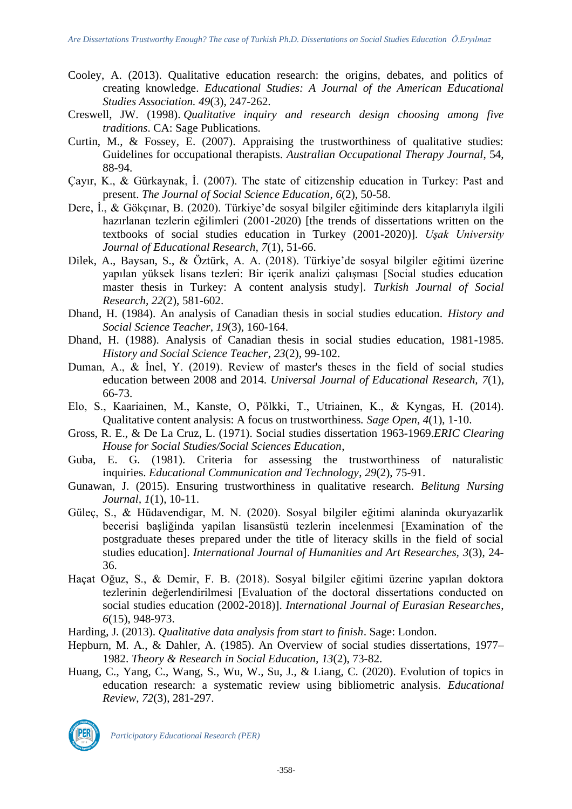- Cooley, A. (2013). Qualitative education research: the origins, debates, and politics of creating knowledge. *Educational Studies: A Journal of the American Educational Studies Association. 49*(3), 247-262.
- Creswell, JW. (1998). *Qualitative inquiry and research design choosing among five traditions*. CA: Sage Publications.
- Curtin, M., & Fossey, E. (2007). Appraising the trustworthiness of qualitative studies: Guidelines for occupational therapists. *Australian Occupational Therapy Journal*, 54, 88-94.
- Çayır, K., & Gürkaynak, İ. (2007). The state of citizenship education in Turkey: Past and present. *The Journal of Social Science Education*, *6*(2), 50-58.
- Dere, İ., & Gökçınar, B. (2020). Türkiye'de sosyal bilgiler eğitiminde ders kitaplarıyla ilgili hazırlanan tezlerin eğilimleri (2001-2020) [the trends of dissertations written on the textbooks of social studies education in Turkey (2001-2020)]. *Uşak University Journal of Educational Research, 7*(1), 51-66.
- Dilek, A., Baysan, S., & Öztürk, A. A. (2018). Türkiye'de sosyal bilgiler eğitimi üzerine yapılan yüksek lisans tezleri: Bir içerik analizi çalışması [Social studies education master thesis in Turkey: A content analysis study]. *Turkish Journal of Social Research, 22*(2), 581-602.
- Dhand, H. (1984). An analysis of Canadian thesis in social studies education. *History and Social Science Teacher*, *19*(3), 160-164.
- Dhand, H. (1988). Analysis of Canadian thesis in social studies education, 1981-1985. *History and Social Science Teacher*, *23*(2), 99-102.
- Duman, A., & İnel, Y. (2019). Review of master's theses in the field of social studies education between 2008 and 2014. *Universal Journal of Educational Research, 7*(1), 66-73.
- Elo, S., Kaariainen, M., Kanste, O, Pölkki, T., Utriainen, K., & Kyngas, H. (2014). Qualitative content analysis: A focus on trustworthiness. *Sage Open*, *4*(1), 1-10.
- Gross, R. E., & De La Cruz, L. (1971). Social studies dissertation 1963-1969.*ERIC Clearing House for Social Studies/Social Sciences Education*,
- Guba, E. G. (1981). Criteria for assessing the trustworthiness of naturalistic inquiries. *Educational Communication and Technology*, *29*(2), 75-91.
- Gunawan, J. (2015). Ensuring trustworthiness in qualitative research. *Belitung Nursing Journal, 1*(1), 10-11.
- Güleç, S., & Hüdavendigar, M. N. (2020). Sosyal bilgiler eğitimi alaninda okuryazarlik becerisi başliğinda yapilan lisansüstü tezlerin incelenmesi [Examination of the postgraduate theses prepared under the title of literacy skills in the field of social studies education]. *International Journal of Humanities and Art Researches, 3*(3), 24- 36.
- Haçat Oğuz, S., & Demir, F. B. (2018). Sosyal bilgiler eğitimi üzerine yapılan doktora tezlerinin değerlendirilmesi [Evaluation of the doctoral dissertations conducted on social studies education (2002-2018)]. *International Journal of Eurasian Researches*, *6*(15), 948-973.
- Harding, J. (2013). *Qualitative data analysis from start to finish*. Sage: London.
- Hepburn, M. A., & Dahler, A. (1985). An Overview of social studies dissertations, 1977– 1982. *Theory & Research in Social Education, 13*(2), 73-82.
- Huang, C., Yang, C., Wang, S., Wu, W., Su, J., & Liang, C. (2020). Evolution of topics in education research: a systematic review using bibliometric analysis. *Educational Review*, *72*(3), 281-297.

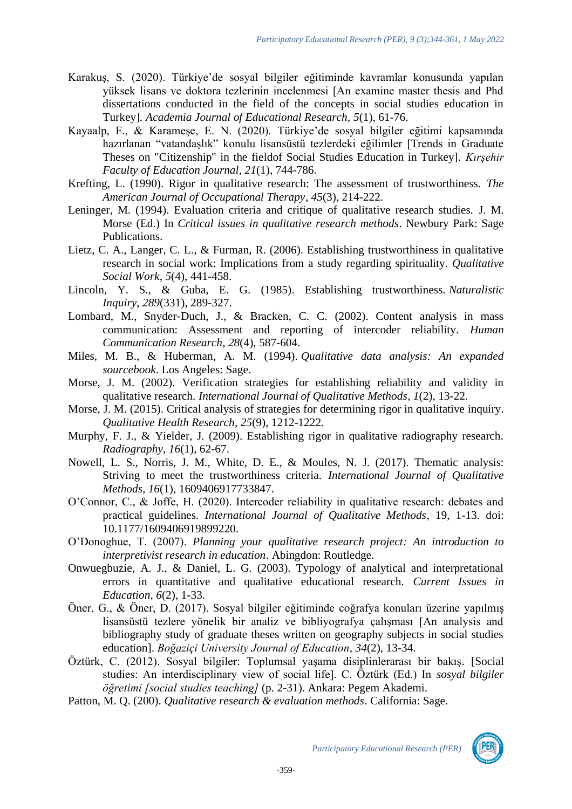- Karakuş, S. (2020). Türkiye'de sosyal bilgiler eğitiminde kavramlar konusunda yapılan yüksek lisans ve doktora tezlerinin incelenmesi [An examine master thesis and Phd dissertations conducted in the field of the concepts in social studies education in Turkey]*. Academia Journal of Educational Research, 5*(1), 61-76.
- Kayaalp, F., & Karameşe, E. N. (2020). Türkiye'de sosyal bilgiler eğitimi kapsamında hazırlanan "vatandaşlık" konulu lisansüstü tezlerdeki eğilimler [Trends in Graduate Theses on "Citizenship" in the fieldof Social Studies Education in Turkey]. *Kırşehir Faculty of Education Journal, 21*(1), 744-786.
- Krefting, L. (1990). Rigor in qualitative research: The assessment of trustworthiness. *The American Journal of Occupational Therapy*, *45*(3), 214-222.
- Leninger, M. (1994). Evaluation criteria and critique of qualitative research studies. J. M. Morse (Ed.) In *Critical issues in qualitative research methods*. Newbury Park: Sage Publications.
- Lietz, C. A., Langer, C. L., & Furman, R. (2006). Establishing trustworthiness in qualitative research in social work: Implications from a study regarding spirituality. *Qualitative Social Work*, *5*(4), 441-458.
- Lincoln, Y. S., & Guba, E. G. (1985). Establishing trustworthiness. *Naturalistic Inquiry*, *289*(331), 289-327.
- Lombard, M., Snyder-Duch, J., & Bracken, C. C. (2002). Content analysis in mass communication: Assessment and reporting of intercoder reliability. *Human Communication Research*, *28*(4), 587-604.
- Miles, M. B., & Huberman, A. M. (1994). *Qualitative data analysis: An expanded sourcebook*. Los Angeles: Sage.
- Morse, J. M. (2002). Verification strategies for establishing reliability and validity in qualitative research. *International Journal of Qualitative Methods*, *1*(2), 13-22.
- Morse, J. M. (2015). Critical analysis of strategies for determining rigor in qualitative inquiry. *Qualitative Health Research*, *25*(9), 1212-1222.
- Murphy, F. J., & Yielder, J. (2009). Establishing rigor in qualitative radiography research. *Radiography, 16*(1), 62-67.
- Nowell, L. S., Norris, J. M., White, D. E., & Moules, N. J. (2017). Thematic analysis: Striving to meet the trustworthiness criteria. *International Journal of Qualitative Methods, 16*(1), 1609406917733847.
- O'Connor, C., & Joffe, H. (2020). Intercoder reliability in qualitative research: debates and practical guidelines. *International Journal of Qualitative Methods*, 19, 1-13. doi: 10.1177/1609406919899220.
- O'Donoghue, T. (2007). *Planning your qualitative research project: An introduction to interpretivist research in education*. Abingdon: Routledge.
- Onwuegbuzie, A. J., & Daniel, L. G. (2003). Typology of analytical and interpretational errors in quantitative and qualitative educational research. *Current Issues in Education*, *6*(2), 1-33.
- Öner, G., & Öner, D. (2017). Sosyal bilgiler eğitiminde coğrafya konuları üzerine yapılmış lisansüstü tezlere yönelik bir analiz ve bibliyografya çalışması [An analysis and bibliography study of graduate theses written on geography subjects in social studies education]. *Boğaziçi University Journal of Education, 34*(2), 13-34.
- Öztürk, C. (2012). Sosyal bilgiler: Toplumsal yaşama disiplinlerarası bir bakış*.* [Social studies: An interdisciplinary view of social life]. C. Öztürk (Ed.) In *sosyal bilgiler öğretimi [social studies teaching]* (p. 2-31). Ankara: Pegem Akademi.
- Patton, M. Q. (200). *Qualitative research & evaluation methods*. California: Sage.

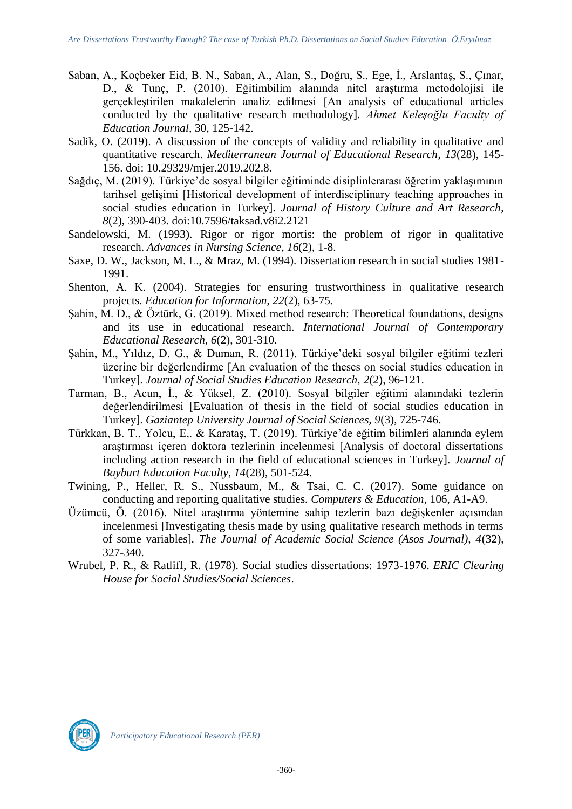- Saban, A., Koçbeker Eid, B. N., Saban, A., Alan, S., Doğru, S., Ege, İ., Arslantaş, S., Çınar, D., & Tunç, P. (2010). Eğitimbilim alanında nitel araştırma metodolojisi ile gerçekleştirilen makalelerin analiz edilmesi [An analysis of educational articles conducted by the qualitative research methodology]. *Ahmet Keleşoğlu Faculty of Education Journal,* 30, 125-142.
- Sadik, O. (2019). A discussion of the concepts of validity and reliability in qualitative and quantitative research. *Mediterranean Journal of Educational Research*, *13*(28), 145- 156. doi: 10.29329/mjer.2019.202.8.
- Sağdıç, M. (2019). Türkiye'de sosyal bilgiler eğitiminde disiplinlerarası öğretim yaklaşımının tarihsel gelişimi [Historical development of interdisciplinary teaching approaches in social studies education in Turkey]. *Journal of History Culture and Art Research*, *8*(2), 390-403. doi:10.7596/taksad.v8i2.2121
- Sandelowski, M. (1993). Rigor or rigor mortis: the problem of rigor in qualitative research. *Advances in Nursing Science*, *16*(2), 1-8.
- Saxe, D. W., Jackson, M. L., & Mraz, M. (1994). Dissertation research in social studies 1981- 1991.
- Shenton, A. K. (2004). Strategies for ensuring trustworthiness in qualitative research projects. *Education for Information*, *22*(2), 63-75.
- Şahin, M. D., & Öztürk, G. (2019). Mixed method research: Theoretical foundations, designs and its use in educational research. *International Journal of Contemporary Educational Research, 6*(2), 301-310.
- Şahin, M., Yıldız, D. G., & Duman, R. (2011). Türkiye'deki sosyal bilgiler eğitimi tezleri üzerine bir değerlendirme [An evaluation of the theses on social studies education in Turkey]. *Journal of Social Studies Education Research, 2*(2), 96-121.
- Tarman, B., Acun, İ., & Yüksel, Z. (2010). Sosyal bilgiler eğitimi alanındaki tezlerin değerlendirilmesi [Evaluation of thesis in the field of social studies education in Turkey]. *Gaziantep University Journal of Social Sciences, 9*(3), 725-746.
- Türkkan, B. T., Yolcu, E,. & Karataş, T. (2019). Türkiye'de eğitim bilimleri alanında eylem araştırması içeren doktora tezlerinin incelenmesi [Analysis of doctoral dissertations including action research in the field of educational sciences in Turkey]. *Journal of Bayburt Education Faculty, 14*(28), 501-524.
- Twining, P., Heller, R. S., Nussbaum, M., & Tsai, C. C. (2017). Some guidance on conducting and reporting qualitative studies. *Computers & Education*, 106, A1-A9.
- Üzümcü, Ö. (2016). Nitel araştırma yöntemine sahip tezlerin bazı değişkenler açısından incelenmesi [Investigating thesis made by using qualitative research methods in terms of some variables]. *The Journal of Academic Social Science (Asos Journal), 4*(32), 327-340.
- Wrubel, P. R., & Ratliff, R. (1978). Social studies dissertations: 1973-1976. *ERIC Clearing House for Social Studies/Social Sciences*.